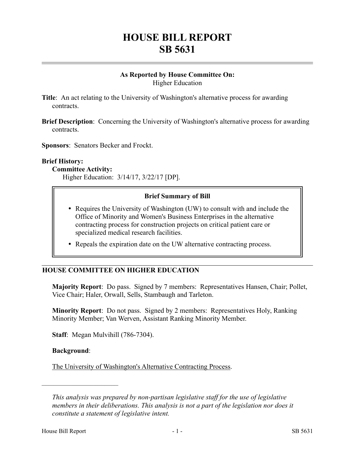# **HOUSE BILL REPORT SB 5631**

## **As Reported by House Committee On:** Higher Education

- **Title**: An act relating to the University of Washington's alternative process for awarding contracts.
- **Brief Description**: Concerning the University of Washington's alternative process for awarding contracts.

**Sponsors**: Senators Becker and Frockt.

#### **Brief History:**

#### **Committee Activity:**

Higher Education: 3/14/17, 3/22/17 [DP].

#### **Brief Summary of Bill**

- Requires the University of Washington (UW) to consult with and include the Office of Minority and Women's Business Enterprises in the alternative contracting process for construction projects on critical patient care or specialized medical research facilities.
- Repeals the expiration date on the UW alternative contracting process.

#### **HOUSE COMMITTEE ON HIGHER EDUCATION**

**Majority Report**: Do pass. Signed by 7 members: Representatives Hansen, Chair; Pollet, Vice Chair; Haler, Orwall, Sells, Stambaugh and Tarleton.

**Minority Report**: Do not pass. Signed by 2 members: Representatives Holy, Ranking Minority Member; Van Werven, Assistant Ranking Minority Member.

**Staff**: Megan Mulvihill (786-7304).

#### **Background**:

––––––––––––––––––––––

The University of Washington's Alternative Contracting Process.

*This analysis was prepared by non-partisan legislative staff for the use of legislative members in their deliberations. This analysis is not a part of the legislation nor does it constitute a statement of legislative intent.*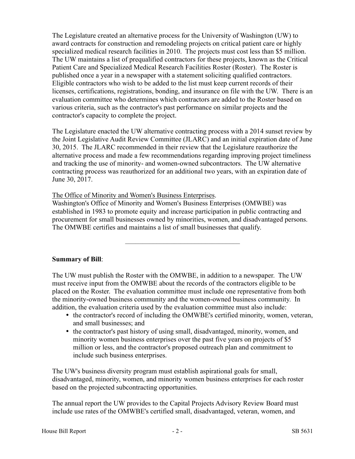The Legislature created an alternative process for the University of Washington (UW) to award contracts for construction and remodeling projects on critical patient care or highly specialized medical research facilities in 2010. The projects must cost less than \$5 million. The UW maintains a list of prequalified contractors for these projects, known as the Critical Patient Care and Specialized Medical Research Facilities Roster (Roster). The Roster is published once a year in a newspaper with a statement soliciting qualified contractors. Eligible contractors who wish to be added to the list must keep current records of their licenses, certifications, registrations, bonding, and insurance on file with the UW. There is an evaluation committee who determines which contractors are added to the Roster based on various criteria, such as the contractor's past performance on similar projects and the contractor's capacity to complete the project.

The Legislature enacted the UW alternative contracting process with a 2014 sunset review by the Joint Legislative Audit Review Committee (JLARC) and an initial expiration date of June 30, 2015. The JLARC recommended in their review that the Legislature reauthorize the alternative process and made a few recommendations regarding improving project timeliness and tracking the use of minority- and women-owned subcontractors. The UW alternative contracting process was reauthorized for an additional two years, with an expiration date of June 30, 2017.

The Office of Minority and Women's Business Enterprises.

Washington's Office of Minority and Women's Business Enterprises (OMWBE) was established in 1983 to promote equity and increase participation in public contracting and procurement for small businesses owned by minorities, women, and disadvantaged persons. The OMWBE certifies and maintains a list of small businesses that qualify.

–––––––––––––––––––––––––––––––––

# **Summary of Bill**:

The UW must publish the Roster with the OMWBE, in addition to a newspaper. The UW must receive input from the OMWBE about the records of the contractors eligible to be placed on the Roster. The evaluation committee must include one representative from both the minority-owned business community and the women-owned business community. In addition, the evaluation criteria used by the evaluation committee must also include:

- the contractor's record of including the OMWBE's certified minority, women, veteran, and small businesses; and
- the contractor's past history of using small, disadvantaged, minority, women, and minority women business enterprises over the past five years on projects of \$5 million or less, and the contractor's proposed outreach plan and commitment to include such business enterprises.

The UW's business diversity program must establish aspirational goals for small, disadvantaged, minority, women, and minority women business enterprises for each roster based on the projected subcontracting opportunities.

The annual report the UW provides to the Capital Projects Advisory Review Board must include use rates of the OMWBE's certified small, disadvantaged, veteran, women, and